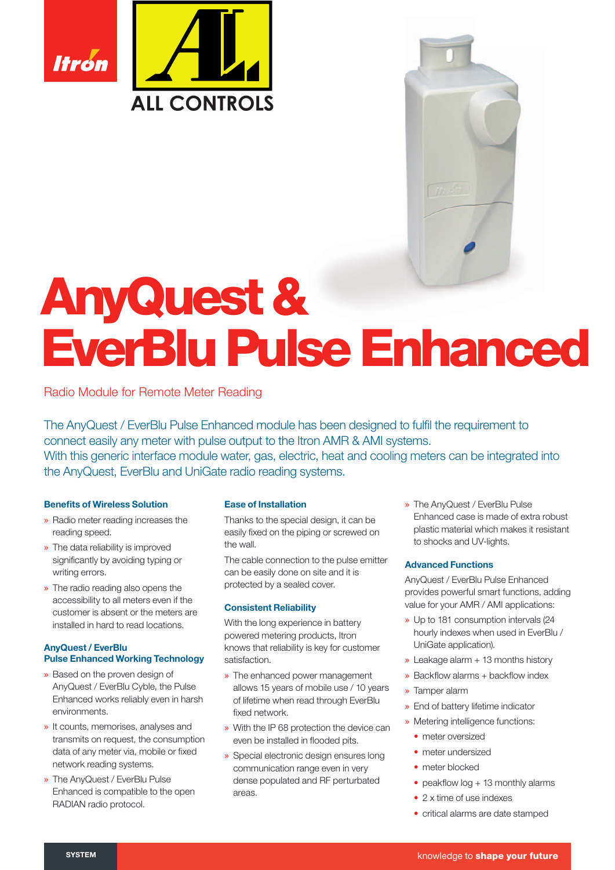

# AnyQuest & EverBlu Pulse Enhanced

Radio Module for Remote Meter Reading

The AnyQuest / EverBlu Pulse Enhanced module has been designed to fulfil the requirement to connect easily any meter with pulse output to the Itron AMR & AMI systems. With this generic interface module water, gas, electric, heat and cooling meters can be integrated into the AnyQuest, EverBlu and UniGate radio reading systems.

# **Benefits of Wireless Solution**

- » Radio meter reading increases the reading speed.
- » The data reliability is improved significantly by avoiding typing or writing errors.
- » The radio reading also opens the accessibility to all meters even if the customer is absent or the meters are installed in hard to read locations.

# AnyQuest / EverBlu **Pulse Enhanced Working Technology**

- » Based on the proven design of AnyQuest / EverBlu Cyble, the Pulse Enhanced works reliably even in harsh environments.
- » It counts, memorises, analyses and transmits on request, the consumption data of any meter via, mobile or fixed network reading systems.
- » The AnyQuest / EverBlu Pulse Enhanced is compatible to the open RADIAN radio protocol.

# Ease of Installation

Thanks to the special design, it can be easily fixed on the piping or screwed on the wall.

The cable connection to the pulse emitter can be easily done on site and it is protected by a sealed cover.

# Consistent Reliability

With the long experience in battery powered metering products, Itron knows that reliability is key for customer satisfaction.

- » The enhanced power management allows 15 years of mobile use / 10 years of lifetime when read through EverBlu fixed network
- » With the IP 68 protection the device can even be installed in flooded pits.
- » Special electronic design ensures long communication range even in very dense populated and RF perturbated areas.

» The AnyQuest / EverBlu Pulse Enhanced case is made of extra robust plastic material which makes it resistant to shocks and UV-lights.

# Advanced Functions

AnyQuest / EverBlu Pulse Enhanced provides powerful smart functions, adding value for your AMR / AMI applications:

- » Up to 181 consumption intervals (24 hourly indexes when used in EverBlu / UniGate application).
- $\rightarrow$  Leakage alarm + 13 months history
- $\rightarrow$  Backflow alarms + backflow index
- » Tamper alarm
- » End of battery lifetime indicator
- » Metering intelligence functions:
	- meter oversized
	- meter undersized
	- meter blocked
	- peakflow  $log + 13$  monthly alarms
- 2 x time of use indexes
- critical alarms are date stamped